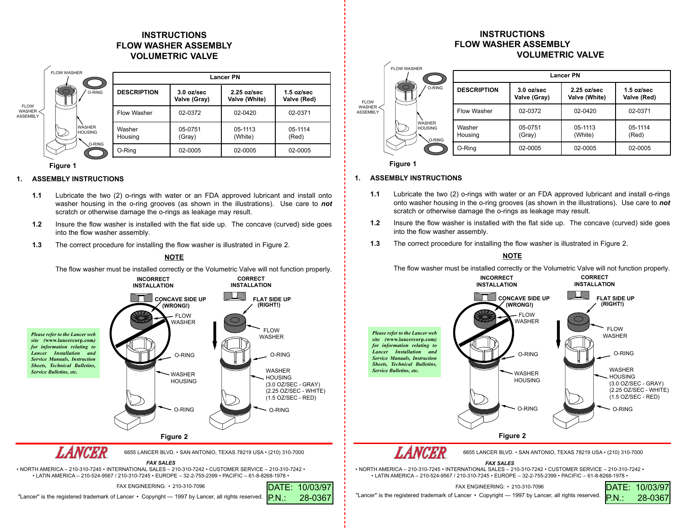# **INSTRUCTIONSFLOW WASHER ASSEMBLYVOLUMETRIC VALVE**

|                                          | <b>FLOW WASHER</b>                        | <b>Lancer PN</b>   |                              |                                        |                             |
|------------------------------------------|-------------------------------------------|--------------------|------------------------------|----------------------------------------|-----------------------------|
| <b>FLOW</b><br>WASHER<br><b>ASSEMBLY</b> | O-RING<br><b>WASHER</b><br><b>HOUSING</b> | <b>DESCRIPTION</b> | $3.0$ oz/sec<br>Valve (Gray) | $2.25 \text{ oz/sec}$<br>Valve (White) | $1.5$ oz/sec<br>Valve (Red) |
|                                          |                                           | Flow Washer        | 02-0372                      | 02-0420                                | 02-0371                     |
|                                          |                                           | Washer<br>Housing  | 05-0751<br>(Gray)            | 05-1113<br>(White)                     | 05-1114<br>(Red)            |
|                                          | O-RING                                    | O-Ring             | 02-0005                      | 02-0005                                | 02-0005                     |

### **Figure 1**

## **1. ASSEMBLY INSTRUCTIONS**

- **1.1** Lubricate the two (2) o-rings with water or an FDA approved lubricant and install onto washer housing in the o-ring grooves (as shown in the illustrations). Use care to *not* scratch or otherwise damage the o-rings as leakage may result.
- **1.2** Insure the flow washer is installed with the flat side up. The concave (curved) side goes into the flow washer assembly.
- **1.3**The correct procedure for installing the flow washer is illustrated in Figure 2.

#### **Figure 2 CONCAVE SIDE UP FLAT SIDE UP** $(WRONG!)$ FLOW WASHERWASHER HOUSINGFLOW WASHERWASHER HOUSING (3.0 OZ/SEC - GRAY) (2.25 OZ/SEC - WHITE) (1.5 OZ/SEC - RED) O-RINGO-RING O-RINGO-RING**INCORRECT INSTALLATIONCORRECT INSTALLATIONNOTE**The flow washer must be installed correctly or the Volumetric Valve will not function properly. *Please refer to the Lancer web site (***www.lancercorp.com***) for information relating to Lancer Installation and Service Manuals, Instruction Sheets, Technical Bulletins, Service Bulletins, etc.* 6655 LANCER BLVD. • SAN ANTONIO, TEXAS 78219 USA • (210) 310-7000

*FAX SALES*

DATE: 10/03/97

28-0367

 • NORTH AMERICA – 210-310-7245 • INTERNATIONAL SALES – 210-310-7242 • CUSTOMER SERVICE – 210-310-7242 •• LATIN AMERICA – 210-524-9567 / 210-310-7245 • EUROPE – 32-2-755-2399 • PACIFIC – 61-8-8268-1978 •

FAX ENGINEERING: • 210-310-7096

"Lancer" is the registered trademark of Lancer • Copyright — 1997 by Lancer, all rights reserved. PN: 28-0367 "Lancer" is the registered trademark of Lancer • Copyright — 1997 by Lancer, all rights reserved.

## **INSTRUCTIONSFLOW WASHER ASSEMBLYVOLUMETRIC VALVE**



**Figure 1**

### **1. ASSEMBLY INSTRUCTIONS**

- **1.1** Lubricate the two (2) o-rings with water or an FDA approved lubricant and install o-rings onto washer housing in the o-ring grooves (as shown in the illustrations). Use care to *not* scratch or otherwise damage the o-rings as leakage may result.
- **1.2** Insure the flow washer is installed with the flat side up. The concave (curved) side goes into the flow washer assembly.
- **1.3**The correct procedure for installing the flow washer is illustrated in Figure 2.

## **NOTE**

The flow washer must be installed correctly or the Volumetric Valve will not function properly.



• LATIN AMERICA – 210-524-9567 / 210-310-7245 • EUROPE – 32-2-755-2399 • PACIFIC – 61-8-8268-1978 •

FAX ENGINEERING: • 210-310-7096